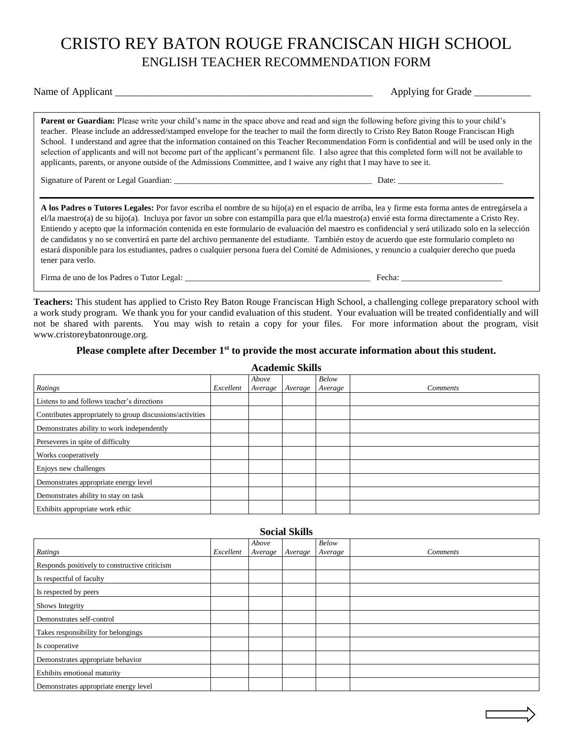## CRISTO REY BATON ROUGE FRANCISCAN HIGH SCHOOL ENGLISH TEACHER RECOMMENDATION FORM

Name of Applicant \_\_\_\_\_\_\_\_\_\_\_\_\_\_\_\_\_\_\_\_\_\_\_\_\_\_\_\_\_\_\_\_\_\_\_\_\_\_\_\_\_\_\_\_\_\_\_\_\_\_ Applying for Grade \_\_\_\_\_\_\_\_\_\_\_

**Parent or Guardian:** Please write your child's name in the space above and read and sign the following before giving this to your child's teacher. Please include an addressed/stamped envelope for the teacher to mail the form directly to Cristo Rey Baton Rouge Franciscan High School. I understand and agree that the information contained on this Teacher Recommendation Form is confidential and will be used only in the selection of applicants and will not become part of the applicant's permanent file. I also agree that this completed form will not be available to applicants, parents, or anyone outside of the Admissions Committee, and I waive any right that I may have to see it.

Signature of Parent or Legal Guardian: \_\_\_\_\_\_\_\_\_\_\_\_\_\_\_\_\_\_\_\_\_\_\_\_\_\_\_\_\_\_\_\_\_\_\_\_\_\_\_\_\_\_\_\_\_\_\_ Date: \_\_\_\_\_\_\_\_\_\_\_\_\_\_\_\_\_\_\_\_\_\_\_\_\_

**A los Padres o Tutores Legales:** Por favor escriba el nombre de su hijo(a) en el espacio de arriba, lea y firme esta forma antes de entregársela a el/la maestro(a) de su hijo(a). Incluya por favor un sobre con estampilla para que el/la maestro(a) envié esta forma directamente a Cristo Rey. Entiendo y acepto que la información contenida en este formulario de evaluación del maestro es confidencial y será utilizado solo en la selección de candidatos y no se convertirá en parte del archivo permanente del estudiante. También estoy de acuerdo que este formulario completo no estará disponible para los estudiantes, padres o cualquier persona fuera del Comité de Admisiones, y renuncio a cualquier derecho que pueda tener para verlo.

Firma de uno de los Padres o Tutor Legal: \_\_\_\_\_\_\_\_\_\_\_\_\_\_\_\_\_\_\_\_\_\_\_\_\_\_\_\_\_\_\_\_\_\_\_\_\_\_\_\_\_\_\_\_ Fecha: \_\_\_\_\_\_\_\_\_\_\_\_\_\_\_\_\_\_\_\_\_\_\_\_

**Teachers:** This student has applied to Cristo Rey Baton Rouge Franciscan High School, a challenging college preparatory school with a work study program. We thank you for your candid evaluation of this student. Your evaluation will be treated confidentially and will not be shared with parents. You may wish to retain a copy for your files. For more information about the program, visit www.cristoreybatonrouge.org.

## **Please complete after December 1st to provide the most accurate information about this student.**

| Atauennt Drins                                            |           |         |         |         |                 |  |  |  |
|-----------------------------------------------------------|-----------|---------|---------|---------|-----------------|--|--|--|
|                                                           |           | Above   |         | Below   |                 |  |  |  |
| Ratings                                                   | Excellent | Average | Average | Average | <i>Comments</i> |  |  |  |
| Listens to and follows teacher's directions               |           |         |         |         |                 |  |  |  |
| Contributes appropriately to group discussions/activities |           |         |         |         |                 |  |  |  |
| Demonstrates ability to work independently                |           |         |         |         |                 |  |  |  |
| Perseveres in spite of difficulty                         |           |         |         |         |                 |  |  |  |
| Works cooperatively                                       |           |         |         |         |                 |  |  |  |
| Enjoys new challenges                                     |           |         |         |         |                 |  |  |  |
| Demonstrates appropriate energy level                     |           |         |         |         |                 |  |  |  |
| Demonstrates ability to stay on task                      |           |         |         |         |                 |  |  |  |
| Exhibits appropriate work ethic                           |           |         |         |         |                 |  |  |  |

| <b>Social Skills</b>                          |           |                  |         |                  |                 |  |  |
|-----------------------------------------------|-----------|------------------|---------|------------------|-----------------|--|--|
| Ratings                                       | Excellent | Above<br>Average | Average | Below<br>Average | <i>Comments</i> |  |  |
|                                               |           |                  |         |                  |                 |  |  |
| Responds positively to constructive criticism |           |                  |         |                  |                 |  |  |
| Is respectful of faculty                      |           |                  |         |                  |                 |  |  |
| Is respected by peers                         |           |                  |         |                  |                 |  |  |
| Shows Integrity                               |           |                  |         |                  |                 |  |  |
| Demonstrates self-control                     |           |                  |         |                  |                 |  |  |
| Takes responsibility for belongings           |           |                  |         |                  |                 |  |  |
| Is cooperative                                |           |                  |         |                  |                 |  |  |
| Demonstrates appropriate behavior             |           |                  |         |                  |                 |  |  |
| Exhibits emotional maturity                   |           |                  |         |                  |                 |  |  |
| Demonstrates appropriate energy level         |           |                  |         |                  |                 |  |  |

**Academic Skills**